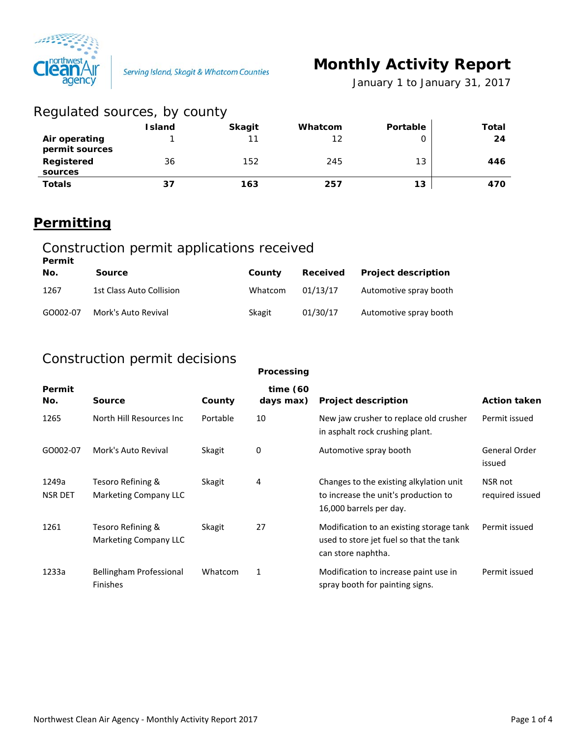

Serving Island, Skagit & Whatcom Counties

# **Monthly Activity Report**

*January 1 to January 31, 2017*

| Regulated sources, by county    |               |               |         |          |       |
|---------------------------------|---------------|---------------|---------|----------|-------|
|                                 | <b>Island</b> | <b>Skagit</b> | Whatcom | Portable | Total |
| Air operating<br>permit sources |               | 11            | 12      |          | 24    |
| Registered<br>sources           | 36            | 152           | 245     | 13       | 446   |
| <b>Totals</b>                   | 37            | 163           | 257     | 13       | 470   |

# **Permitting**

## Construction permit applications received

| Permit   |                          |         |          |                            |
|----------|--------------------------|---------|----------|----------------------------|
| No.      | <b>Source</b>            | County  | Received | <b>Project description</b> |
| 1267     | 1st Class Auto Collision | Whatcom | 01/13/17 | Automotive spray booth     |
| GO002-07 | Mork's Auto Revival      | Skagit  | 01/30/17 | Automotive spray booth     |

## Construction permit decisions

|                         |                                            |          | Processing               |                                                                                                            |                            |
|-------------------------|--------------------------------------------|----------|--------------------------|------------------------------------------------------------------------------------------------------------|----------------------------|
| Permit<br>No.           | <b>Source</b>                              | County   | time $(60)$<br>days max) | <b>Project description</b>                                                                                 | <b>Action taken</b>        |
| 1265                    | North Hill Resources Inc                   | Portable | 10                       | New jaw crusher to replace old crusher<br>in asphalt rock crushing plant.                                  | Permit issued              |
| GO002-07                | Mork's Auto Revival                        | Skagit   | 0                        | Automotive spray booth                                                                                     | General Order<br>issued    |
| 1249a<br><b>NSR DET</b> | Tesoro Refining &<br>Marketing Company LLC | Skagit   | 4                        | Changes to the existing alkylation unit<br>to increase the unit's production to<br>16,000 barrels per day. | NSR not<br>required issued |
| 1261                    | Tesoro Refining &<br>Marketing Company LLC | Skagit   | 27                       | Modification to an existing storage tank<br>used to store jet fuel so that the tank<br>can store naphtha.  | Permit issued              |
| 1233a                   | Bellingham Professional<br><b>Finishes</b> | Whatcom  | $\mathbf{1}$             | Modification to increase paint use in<br>spray booth for painting signs.                                   | Permit issued              |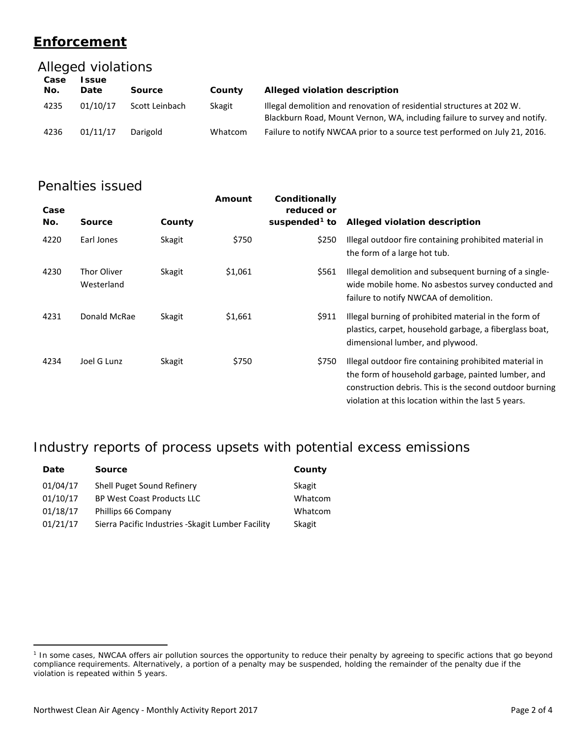## **Enforcement**

## Alleged violations

| Case<br>No. | ssue<br>Date | Source         | County  | Alleged violation description                                                                                                                      |
|-------------|--------------|----------------|---------|----------------------------------------------------------------------------------------------------------------------------------------------------|
| 4235        | 01/10/17     | Scott Leinbach | Skagit  | Illegal demolition and renovation of residential structures at 202 W.<br>Blackburn Road, Mount Vernon, WA, including failure to survey and notify. |
| 4236        | 01/11/17     | Darigold       | Whatcom | Failure to notify NWCAA prior to a source test performed on July 21, 2016.                                                                         |

## Penalties issued

| Case<br>No. | <b>Source</b>                    | County | Amount  | Conditionally<br>reduced or<br>suspended <sup>1</sup> to | Alleged violation description                                                                                                                                                                                                  |
|-------------|----------------------------------|--------|---------|----------------------------------------------------------|--------------------------------------------------------------------------------------------------------------------------------------------------------------------------------------------------------------------------------|
| 4220        | Earl Jones                       | Skagit | \$750   | \$250                                                    | Illegal outdoor fire containing prohibited material in<br>the form of a large hot tub.                                                                                                                                         |
| 4230        | <b>Thor Oliver</b><br>Westerland | Skagit | \$1,061 | \$561                                                    | Illegal demolition and subsequent burning of a single-<br>wide mobile home. No asbestos survey conducted and<br>failure to notify NWCAA of demolition.                                                                         |
| 4231        | Donald McRae                     | Skagit | \$1,661 | \$911                                                    | Illegal burning of prohibited material in the form of<br>plastics, carpet, household garbage, a fiberglass boat,<br>dimensional lumber, and plywood.                                                                           |
| 4234        | Joel G Lunz                      | Skagit | \$750   | \$750                                                    | Illegal outdoor fire containing prohibited material in<br>the form of household garbage, painted lumber, and<br>construction debris. This is the second outdoor burning<br>violation at this location within the last 5 years. |

# Industry reports of process upsets with potential excess emissions

| Date     | <b>Source</b>                                      | County  |
|----------|----------------------------------------------------|---------|
| 01/04/17 | Shell Puget Sound Refinery                         | Skagit  |
| 01/10/17 | <b>BP West Coast Products LLC</b>                  | Whatcom |
| 01/18/17 | Phillips 66 Company                                | Whatcom |
| 01/21/17 | Sierra Pacific Industries - Skagit Lumber Facility | Skagit  |

 $\overline{a}$ 

<span id="page-1-0"></span><sup>&</sup>lt;sup>1</sup> In some cases, NWCAA offers air pollution sources the opportunity to reduce their penalty by agreeing to specific actions that go beyond compliance requirements. Alternatively, a portion of a penalty may be suspended, holding the remainder of the penalty due if the violation is repeated within 5 years.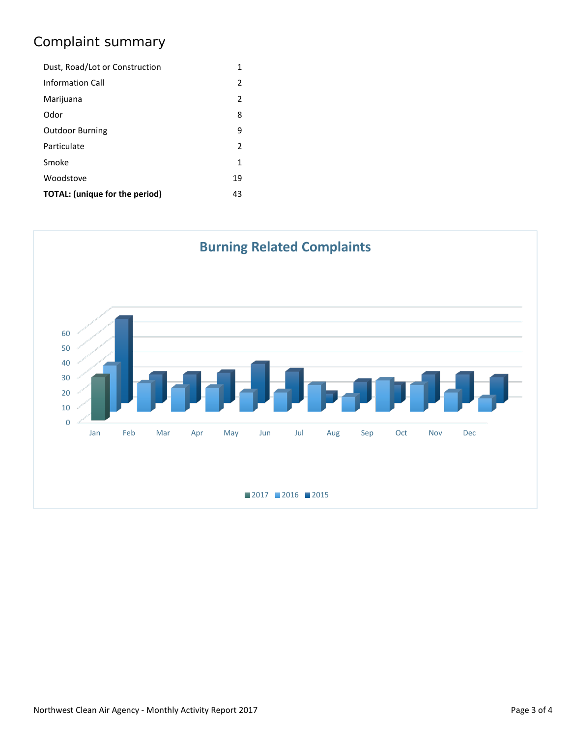# Complaint summary

| Dust, Road/Lot or Construction |               |  |
|--------------------------------|---------------|--|
| <b>Information Call</b>        | 2             |  |
| Marijuana                      | $\mathcal{P}$ |  |
| Odor                           | 8             |  |
| <b>Outdoor Burning</b>         | 9             |  |
| Particulate                    | 2             |  |
| Smoke                          | 1             |  |
| Woodstove                      | 19            |  |
| TOTAL: (unique for the period) |               |  |